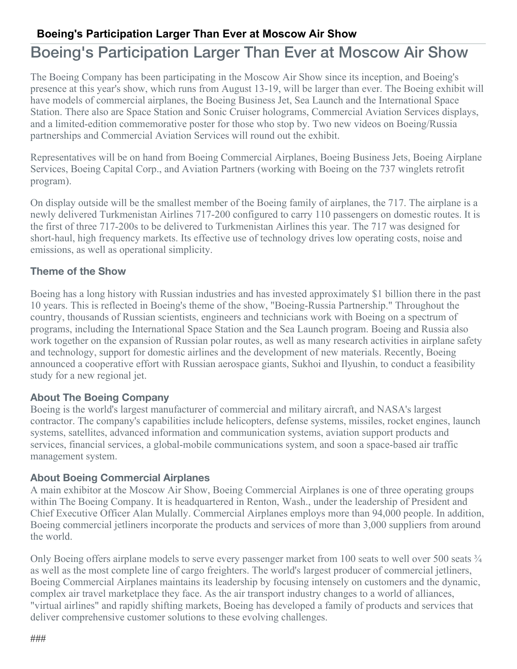## **Boeing's Participation Larger Than Ever at Moscow Air Show**

# Boeing's Participation Larger Than Ever at Moscow Air Show

The Boeing Company has been participating in the Moscow Air Show since its inception, and Boeing's presence at this year's show, which runs from August 13-19, will be larger than ever. The Boeing exhibit will have models of commercial airplanes, the Boeing Business Jet, Sea Launch and the International Space Station. There also are Space Station and Sonic Cruiser holograms, Commercial Aviation Services displays, and a limited-edition commemorative poster for those who stop by. Two new videos on Boeing/Russia partnerships and Commercial Aviation Services will round out the exhibit.

Representatives will be on hand from Boeing Commercial Airplanes, Boeing Business Jets, Boeing Airplane Services, Boeing Capital Corp., and Aviation Partners (working with Boeing on the 737 winglets retrofit program).

On display outside will be the smallest member of the Boeing family of airplanes, the 717. The airplane is a newly delivered Turkmenistan Airlines 717-200 configured to carry 110 passengers on domestic routes. It is the first of three 717-200s to be delivered to Turkmenistan Airlines this year. The 717 was designed for short-haul, high frequency markets. Its effective use of technology drives low operating costs, noise and emissions, as well as operational simplicity.

### **Theme of the Show**

Boeing has a long history with Russian industries and has invested approximately \$1 billion there in the past 10 years. This is reflected in Boeing's theme of the show, "Boeing-Russia Partnership." Throughout the country, thousands of Russian scientists, engineers and technicians work with Boeing on a spectrum of programs, including the International Space Station and the Sea Launch program. Boeing and Russia also work together on the expansion of Russian polar routes, as well as many research activities in airplane safety and technology, support for domestic airlines and the development of new materials. Recently, Boeing announced a cooperative effort with Russian aerospace giants, Sukhoi and Ilyushin, to conduct a feasibility study for a new regional jet.

### **About The Boeing Company**

Boeing is the world's largest manufacturer of commercial and military aircraft, and NASA's largest contractor. The company's capabilities include helicopters, defense systems, missiles, rocket engines, launch systems, satellites, advanced information and communication systems, aviation support products and services, financial services, a global-mobile communications system, and soon a space-based air traffic management system.

#### **About Boeing Commercial Airplanes**

A main exhibitor at the Moscow Air Show, Boeing Commercial Airplanes is one of three operating groups within The Boeing Company. It is headquartered in Renton, Wash., under the leadership of President and Chief Executive Officer Alan Mulally. Commercial Airplanes employs more than 94,000 people. In addition, Boeing commercial jetliners incorporate the products and services of more than 3,000 suppliers from around the world.

Only Boeing offers airplane models to serve every passenger market from 100 seats to well over 500 seats  $\frac{3}{4}$ as well as the most complete line of cargo freighters. The world's largest producer of commercial jetliners, Boeing Commercial Airplanes maintains its leadership by focusing intensely on customers and the dynamic, complex air travel marketplace they face. As the air transport industry changes to a world of alliances, "virtual airlines" and rapidly shifting markets, Boeing has developed a family of products and services that deliver comprehensive customer solutions to these evolving challenges.